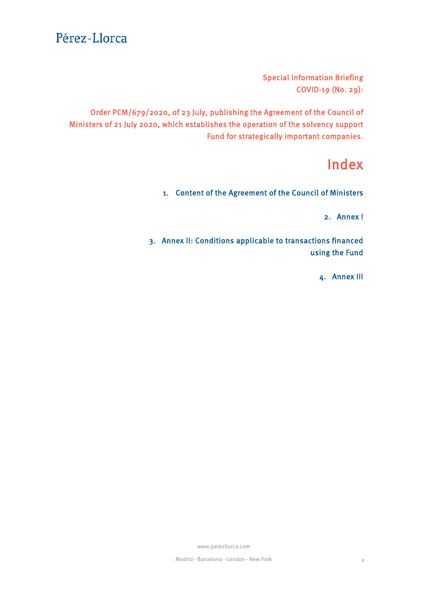Special Information Briefing COVID-19 (No. 29):

Order PCM/679/2020, of 23 July, publishing the Agreement of the Council of Ministers of 21 July 2020, which establishes the operation of the solvency support Fund for strategically important companies.

# Index

1. [Content of the Agreement of the Council of Ministers](#page-1-0)

2. [Annex I](#page-2-0)

3. [Annex II: Conditions applicable to transactions financed](#page-2-0) using the Fund

4. [Annex III](#page-6-0)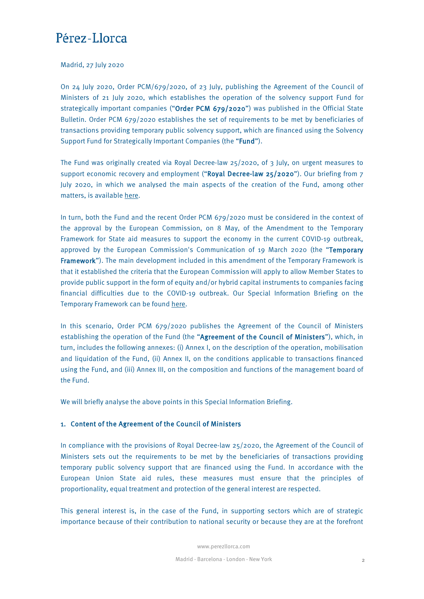<span id="page-1-0"></span>Madrid, 27 July 2020

On 24 July 2020, Order PCM/679/2020, of 23 July, publishing the Agreement of the Council of Ministers of 21 July 2020, which establishes the operation of the solvency support Fund for strategically important companies ("Order PCM 679/2020") was published in the Official State Bulletin. Order PCM 679/2020 establishes the set of requirements to be met by beneficiaries of transactions providing temporary public solvency support, which are financed using the Solvency Support Fund for Strategically Important Companies (the "Fund").

The Fund was originally created via Royal Decree-law 25/2020, of 3 July, on urgent measures to support economic recovery and employment ("Royal Decree-law 25/2020"). Our briefing from 7 July 2020, in which we analysed the main aspects of the creation of the Fund, among other matters, is available [here.](https://www.perezllorca.com/en/news/coronavirus-covid-19/special-information-briefing-covid-19-no-27-royal-decree-law-25-2020-economic-recovery-and-employment/)

In turn, both the Fund and the recent Order PCM 679/2020 must be considered in the context of the approval by the European Commission, on 8 May, of the Amendment to the Temporary Framework for State aid measures to support the economy in the current COVID-19 outbreak, approved by the European Commission's Communication of 19 March 2020 (the "Temporary Framework"). The main development included in this amendment of the Temporary Framework is that it established the criteria that the European Commission will apply to allow Member States to provide public support in the form of equity and/or hybrid capital instruments to companies facing financial difficulties due to the COVID-19 outbreak. Our Special Information Briefing on the Temporary Framework can be found [here.](https://www.perezllorca.com/en/news/coronavirus-covid-19/special-information-briefing-covid-19-no-17-the-recapitalisation-of-undertakings-by-member-states/)

In this scenario, Order PCM 679/2020 publishes the Agreement of the Council of Ministers establishing the operation of the Fund (the "Agreement of the Council of Ministers"), which, in turn, includes the following annexes: (i) Annex I, on the description of the operation, mobilisation and liquidation of the Fund, (ii) Annex II, on the conditions applicable to transactions financed using the Fund, and (iii) Annex III, on the composition and functions of the management board of the Fund.

We will briefly analyse the above points in this Special Information Briefing.

### 1. Content of the Agreement of the Council of Ministers

In compliance with the provisions of Royal Decree-law 25/2020, the Agreement of the Council of Ministers sets out the requirements to be met by the beneficiaries of transactions providing temporary public solvency support that are financed using the Fund. In accordance with the European Union State aid rules, these measures must ensure that the principles of proportionality, equal treatment and protection of the general interest are respected.

This general interest is, in the case of the Fund, in supporting sectors which are of strategic importance because of their contribution to national security or because they are at the forefront

www.perezllorca.com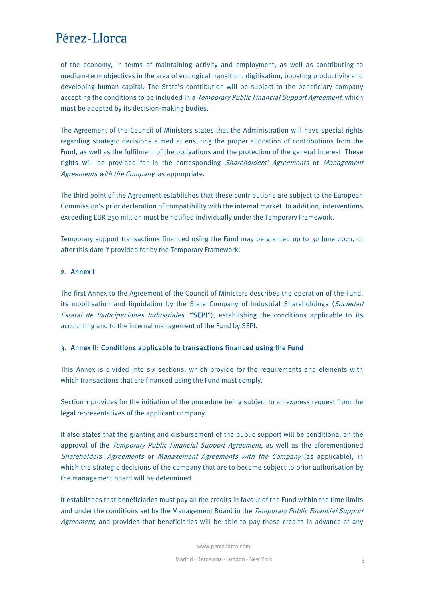<span id="page-2-0"></span>of the economy, in terms of maintaining activity and employment, as well as contributing to medium-term objectives in the area of ecological transition, digitisation, boosting productivity and developing human capital. The State's contribution will be subject to the beneficiary company accepting the conditions to be included in a *Temporary Public Financial Support Agreement*, which must be adopted by its decision-making bodies.

The Agreement of the Council of Ministers states that the Administration will have special rights regarding strategic decisions aimed at ensuring the proper allocation of contributions from the Fund, as well as the fulfilment of the obligations and the protection of the general interest. These rights will be provided for in the corresponding Shareholders' Agreements or Management Agreements with the Company, as appropriate.

The third point of the Agreement establishes that these contributions are subject to the European Commission's prior declaration of compatibility with the internal market. In addition, interventions exceeding EUR 250 million must be notified individually under the Temporary Framework.

Temporary support transactions financed using the Fund may be granted up to 30 June 2021, or after this date if provided for by the Temporary Framework.

#### 2. Annex I

The first Annex to the Agreement of the Council of Ministers describes the operation of the Fund, its mobilisation and liquidation by the State Company of Industrial Shareholdings (Sociedad Estatal de Participaciones Industriales, "SEPI"), establishing the conditions applicable to its accounting and to the internal management of the Fund by SEPI.

#### 3. Annex II: Conditions applicable to transactions financed using the Fund

This Annex is divided into six sections, which provide for the requirements and elements with which transactions that are financed using the Fund must comply.

Section 1 provides for the initiation of the procedure being subject to an express request from the legal representatives of the applicant company.

It also states that the granting and disbursement of the public support will be conditional on the approval of the Temporary Public Financial Support Agreement, as well as the aforementioned Shareholders' Agreements or Management Agreements with the Company (as applicable), in which the strategic decisions of the company that are to become subject to prior authorisation by the management board will be determined.

It establishes that beneficiaries must pay all the credits in favour of the Fund within the time limits and under the conditions set by the Management Board in the *Temporary Public Financial Support* Agreement, and provides that beneficiaries will be able to pay these credits in advance at any

www.perezllorca.com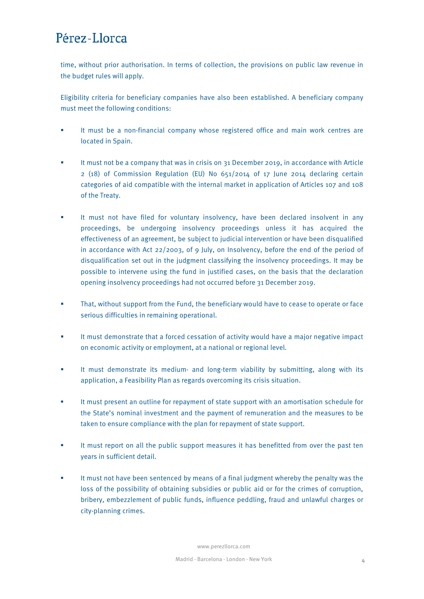time, without prior authorisation. In terms of collection, the provisions on public law revenue in the budget rules will apply.

Eligibility criteria for beneficiary companies have also been established. A beneficiary company must meet the following conditions:

- It must be a non-financial company whose registered office and main work centres are located in Spain.
- It must not be a company that was in crisis on 31 December 2019, in accordance with Article  $2$  (18) of Commission Regulation (EU) No  $651/2014$  of 17 June 2014 declaring certain categories of aid compatible with the internal market in application of Articles 107 and 108 of the Treaty.
- It must not have filed for voluntary insolvency, have been declared insolvent in any proceedings, be undergoing insolvency proceedings unless it has acquired the effectiveness of an agreement, be subject to judicial intervention or have been disqualified in accordance with Act 22/2003, of 9 July, on Insolvency, before the end of the period of disqualification set out in the judgment classifying the insolvency proceedings. It may be possible to intervene using the fund in justified cases, on the basis that the declaration opening insolvency proceedings had not occurred before 31 December 2019.
- That, without support from the Fund, the beneficiary would have to cease to operate or face serious difficulties in remaining operational.
- It must demonstrate that a forced cessation of activity would have a major negative impact on economic activity or employment, at a national or regional level.
- **If must demonstrate its medium- and long-term viability by submitting, along with its** application, a Feasibility Plan as regards overcoming its crisis situation.
- It must present an outline for repayment of state support with an amortisation schedule for the State's nominal investment and the payment of remuneration and the measures to be taken to ensure compliance with the plan for repayment of state support.
- It must report on all the public support measures it has benefitted from over the past ten years in sufficient detail.
- It must not have been sentenced by means of a final judgment whereby the penalty was the loss of the possibility of obtaining subsidies or public aid or for the crimes of corruption, bribery, embezzlement of public funds, influence peddling, fraud and unlawful charges or city-planning crimes.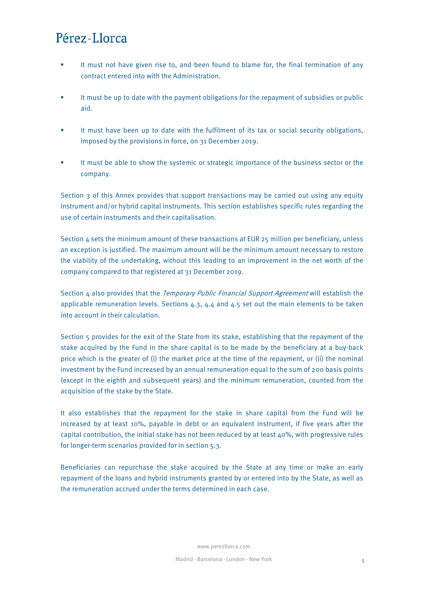- It must not have given rise to, and been found to blame for, the final termination of any contract entered into with the Administration.
- It must be up to date with the payment obligations for the repayment of subsidies or public aid.
- It must have been up to date with the fulfilment of its tax or social security obligations, imposed by the provisions in force, on 31 December 2019.
- It must be able to show the systemic or strategic importance of the business sector or the company.

Section 3 of this Annex provides that support transactions may be carried out using any equity instrument and/or hybrid capital instruments. This section establishes specific rules regarding the use of certain instruments and their capitalisation.

Section 4 sets the minimum amount of these transactions at EUR 25 million per beneficiary, unless an exception is justified. The maximum amount will be the minimum amount necessary to restore the viability of the undertaking, without this leading to an improvement in the net worth of the company compared to that registered at 31 December 2019.

Section  $\mu$  also provides that the *Temporary Public Financial Support Agreement* will establish the applicable remuneration levels. Sections  $4.3$ ,  $4.4$  and  $4.5$  set out the main elements to be taken into account in their calculation.

Section 5 provides for the exit of the State from its stake, establishing that the repayment of the stake acquired by the Fund in the share capital is to be made by the beneficiary at a buy-back price which is the greater of (i) the market price at the time of the repayment, or (ii) the nominal investment by the Fund increased by an annual remuneration equal to the sum of 200 basis points (except in the eighth and subsequent years) and the minimum remuneration, counted from the acquisition of the stake by the State.

It also establishes that the repayment for the stake in share capital from the Fund will be increased by at least 10%, payable in debt or an equivalent instrument, if five years after the capital contribution, the initial stake has not been reduced by at least 40%, with progressive rules for longer-term scenarios provided for in section 5.3.

Beneficiaries can repurchase the stake acquired by the State at any time or make an early repayment of the loans and hybrid instruments granted by or entered into by the State, as well as the remuneration accrued under the terms determined in each case.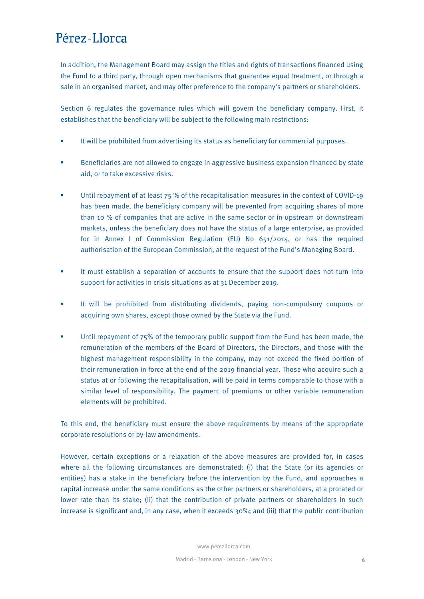In addition, the Management Board may assign the titles and rights of transactions financed using the Fund to a third party, through open mechanisms that guarantee equal treatment, or through a sale in an organised market, and may offer preference to the company's partners or shareholders.

Section 6 regulates the governance rules which will govern the beneficiary company. First, it establishes that the beneficiary will be subject to the following main restrictions:

- **If will be prohibited from advertising its status as beneficiary for commercial purposes.**
- **Beneficiaries are not allowed to engage in aggressive business expansion financed by state** aid, or to take excessive risks.
- Until repayment of at least 75 % of the recapitalisation measures in the context of COVID-19 has been made, the beneficiary company will be prevented from acquiring shares of more than 10 % of companies that are active in the same sector or in upstream or downstream markets, unless the beneficiary does not have the status of a large enterprise, as provided for in Annex I of Commission Regulation (EU) No 651/2014, or has the required authorisation of the European Commission, at the request of the Fund's Managing Board.
- It must establish a separation of accounts to ensure that the support does not turn into support for activities in crisis situations as at 31 December 2019.
- **If will be prohibited from distributing dividends, paying non-compulsory coupons or** acquiring own shares, except those owned by the State via the Fund.
- Until repayment of 75% of the temporary public support from the Fund has been made, the remuneration of the members of the Board of Directors, the Directors, and those with the highest management responsibility in the company, may not exceed the fixed portion of their remuneration in force at the end of the 2019 financial year. Those who acquire such a status at or following the recapitalisation, will be paid in terms comparable to those with a similar level of responsibility. The payment of premiums or other variable remuneration elements will be prohibited.

To this end, the beneficiary must ensure the above requirements by means of the appropriate corporate resolutions or by-law amendments.

However, certain exceptions or a relaxation of the above measures are provided for, in cases where all the following circumstances are demonstrated: (i) that the State (or its agencies or entities) has a stake in the beneficiary before the intervention by the Fund, and approaches a capital increase under the same conditions as the other partners or shareholders, at a prorated or lower rate than its stake; (ii) that the contribution of private partners or shareholders in such increase is significant and, in any case, when it exceeds 30%; and (iii) that the public contribution